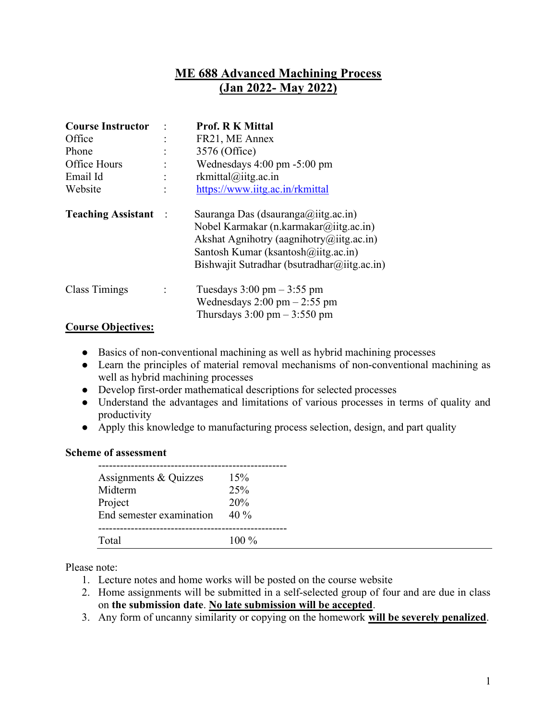## ME 688 Advanced Machining Process (Jan 2022- May 2022)

| <b>Course Instructor</b>  | <b>Prof. R K Mittal</b>                                                                                                                                                                                                          |  |
|---------------------------|----------------------------------------------------------------------------------------------------------------------------------------------------------------------------------------------------------------------------------|--|
| Office                    | FR21, ME Annex                                                                                                                                                                                                                   |  |
| Phone                     | 3576 (Office)                                                                                                                                                                                                                    |  |
| Office Hours              | Wednesdays $4:00 \text{ pm } -5:00 \text{ pm}$                                                                                                                                                                                   |  |
| Email Id                  | $rkmittal@i$ itg.ac.in                                                                                                                                                                                                           |  |
| Website                   | https://www.iitg.ac.in/rkmittal                                                                                                                                                                                                  |  |
| <b>Teaching Assistant</b> | Sauranga Das (dsauranga@iitg.ac.in)<br>Nobel Karmakar (n.karmakar@iitg.ac.in)<br>Akshat Agnihotry (aagnihotry $(\partial)$ iitg.ac.in)<br>Santosh Kumar (ksantosh $@$ iitg.ac.in)<br>Bishwajit Sutradhar (bsutradhar@iitg.ac.in) |  |
| Class Timings             | Tuesdays $3:00 \text{ pm} - 3:55 \text{ pm}$<br>Wednesdays $2:00 \text{ pm} - 2:55 \text{ pm}$<br>Thursdays $3:00 \text{ pm} - 3:550 \text{ pm}$                                                                                 |  |

## Course Objectives:

- Basics of non-conventional machining as well as hybrid machining processes
- Learn the principles of material removal mechanisms of non-conventional machining as well as hybrid machining processes
- Develop first-order mathematical descriptions for selected processes
- Understand the advantages and limitations of various processes in terms of quality and productivity
- Apply this knowledge to manufacturing process selection, design, and part quality

## Scheme of assessment

| End semester examination | Assignments & Quizzes | 15% |
|--------------------------|-----------------------|-----|
| $40\%$                   | Midterm               | 25% |
|                          | Project               | 20% |

Please note:

- 1. Lecture notes and home works will be posted on the course website
- 2. Home assignments will be submitted in a self-selected group of four and are due in class on the submission date. No late submission will be accepted.
- 3. Any form of uncanny similarity or copying on the homework will be severely penalized.